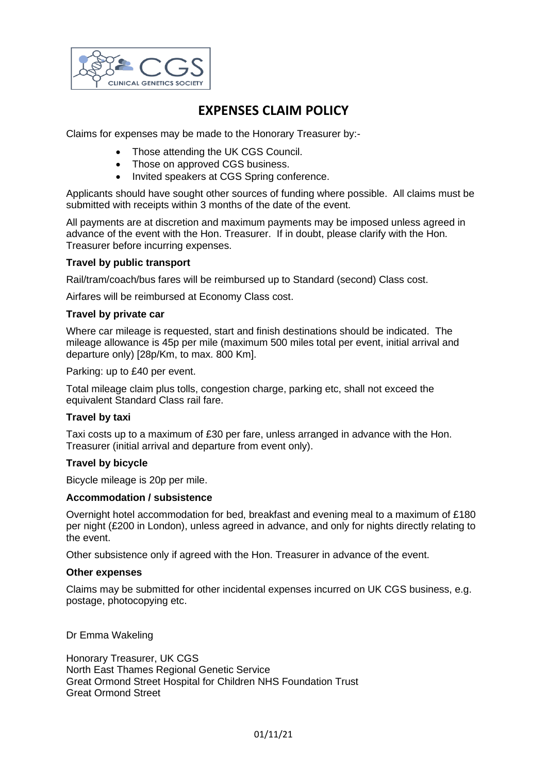

# **EXPENSES CLAIM POLICY**

Claims for expenses may be made to the Honorary Treasurer by:-

- Those attending the UK CGS Council.
- Those on approved CGS business.
- Invited speakers at CGS Spring conference.

Applicants should have sought other sources of funding where possible. All claims must be submitted with receipts within 3 months of the date of the event.

All payments are at discretion and maximum payments may be imposed unless agreed in advance of the event with the Hon. Treasurer. If in doubt, please clarify with the Hon. Treasurer before incurring expenses.

## **Travel by public transport**

Rail/tram/coach/bus fares will be reimbursed up to Standard (second) Class cost.

Airfares will be reimbursed at Economy Class cost.

### **Travel by private car**

Where car mileage is requested, start and finish destinations should be indicated. The mileage allowance is 45p per mile (maximum 500 miles total per event, initial arrival and departure only) [28p/Km, to max. 800 Km].

Parking: up to £40 per event.

Total mileage claim plus tolls, congestion charge, parking etc, shall not exceed the equivalent Standard Class rail fare.

### **Travel by taxi**

Taxi costs up to a maximum of £30 per fare, unless arranged in advance with the Hon. Treasurer (initial arrival and departure from event only).

### **Travel by bicycle**

Bicycle mileage is 20p per mile.

### **Accommodation / subsistence**

Overnight hotel accommodation for bed, breakfast and evening meal to a maximum of £180 per night (£200 in London), unless agreed in advance, and only for nights directly relating to the event.

Other subsistence only if agreed with the Hon. Treasurer in advance of the event.

### **Other expenses**

Claims may be submitted for other incidental expenses incurred on UK CGS business, e.g. postage, photocopying etc.

Dr Emma Wakeling

Honorary Treasurer, UK CGS North East Thames Regional Genetic Service Great Ormond Street Hospital for Children NHS Foundation Trust Great Ormond Street